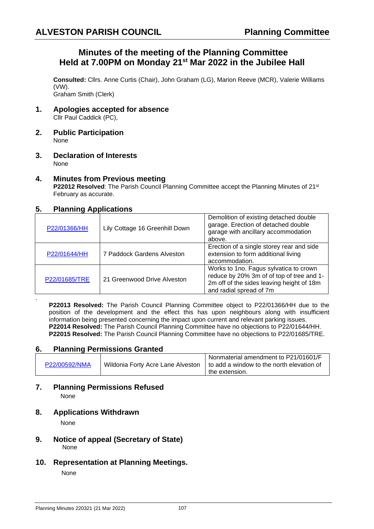## **Minutes of the meeting of the Planning Committee Held at 7.00PM on Monday 21st Mar 2022 in the Jubilee Hall**

**Consulted:** Cllrs. Anne Curtis (Chair), John Graham (LG), Marion Reeve (MCR), Valerie Williams (VW). Graham Smith (Clerk)

- **1. Apologies accepted for absence** Cllr Paul Caddick (PC),
- **2. Public Participation** None
- **3. Declaration of Interests** None

# **4. Minutes from Previous meeting**

**P22012 Resolved:** The Parish Council Planning Committee accept the Planning Minutes of 21<sup>st</sup> February as accurate.

## **5. Planning Applications**

| P22/01366/HH  | Lily Cottage 16 Greenhill Down | Demolition of existing detached double<br>garage. Erection of detached double<br>garage with ancillary accommodation<br>above.                              |
|---------------|--------------------------------|-------------------------------------------------------------------------------------------------------------------------------------------------------------|
| P22/01644/HH  | 7 Paddock Gardens Alveston     | Erection of a single storey rear and side<br>extension to form additional living<br>accommodation.                                                          |
| P22/01685/TRE | 21 Greenwood Drive Alveston    | Works to 1no. Fagus sylvatica to crown<br>reduce by 20% 3m of of top of tree and 1-<br>2m off of the sides leaving height of 18m<br>and radial spread of 7m |

**P22013 Resolved:** The Parish Council Planning Committee object to P22/01366/HH due to the position of the development and the effect this has upon neighbours along with insufficient information being presented concerning the impact upon current and relevant parking issues. **P22014 Resolved:** The Parish Council Planning Committee have no objections to P22/01644/HH. **P22015 Resolved:** The Parish Council Planning Committee have no objections to P22/01685/TRE.

### **6. Planning Permissions Granted**

|               |                                   | Nonmaterial amendment to P21/01601/F        |
|---------------|-----------------------------------|---------------------------------------------|
| P22/00592/NMA | Wildonia Forty Acre Lane Alveston | I to add a window to the north elevation of |
|               |                                   | the extension.                              |

#### **7. Planning Permissions Refused** None

### **8. Applications Withdrawn**

None

.

- **9. Notice of appeal (Secretary of State)**  None
- **10. Representation at Planning Meetings.**

None